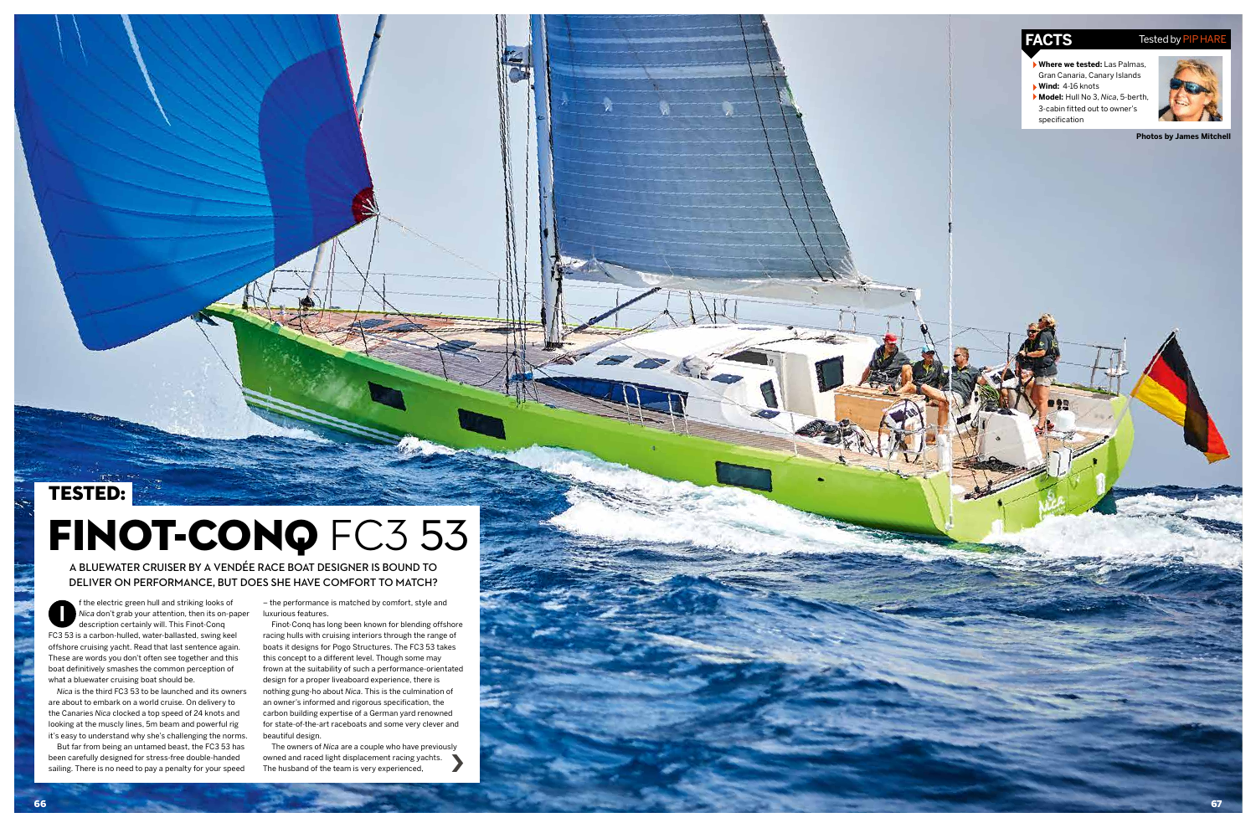## TESTED:

# FINOT-CONQ FC3 53



a bluewater cruiser by a vendée race boat designer is bound to deliver on performance, but does she have comfort to match?

- **Where we tested:** Las Palmas, Gran Canaria, Canary Islands **Wind:** 4-16 knots
- **Model:** Hull No 3, *Nica*, 5-berth, 3-cabin fitted out to owner's specification



**Photos by James Mitchell**

**I** f the electric green hull and striking looks of *Nica* don't grab your attention, then its on-paper description certainly will. This Finot-Conq FC3 53 is a carbon-hulled, water-ballasted, swing keel offshore cruising yacht. Read that last sentence again. These are words you don't often see together and this boat definitively smashes the common perception of what a bluewater cruising boat should be.

*Nica* is the third FC3 53 to be launched and its owners are about to embark on a world cruise. On delivery to the Canaries *Nica* clocked a top speed of 24 knots and looking at the muscly lines, 5m beam and powerful rig it's easy to understand why she's challenging the norms.

But far from being an untamed beast, the FC3 53 has been carefully designed for stress-free double-handed sailing. There is no need to pay a penalty for your speed

› The owners of *Nica* are a couple who have previously owned and raced light displacement racing yachts. The husband of the team is very experienced,

## **FACTS** Tested by P

– the performance is matched by comfort, style and luxurious features.

Finot-Conq has long been known for blending offshore racing hulls with cruising interiors through the range of boats it designs for Pogo Structures. The FC3 53 takes this concept to a different level. Though some may frown at the suitability of such a performance-orientated design for a proper liveaboard experience, there is nothing gung-ho about *Nica*. This is the culmination of an owner's informed and rigorous specification, the carbon building expertise of a German yard renowned for state-of-the-art raceboats and some very clever and beautiful design.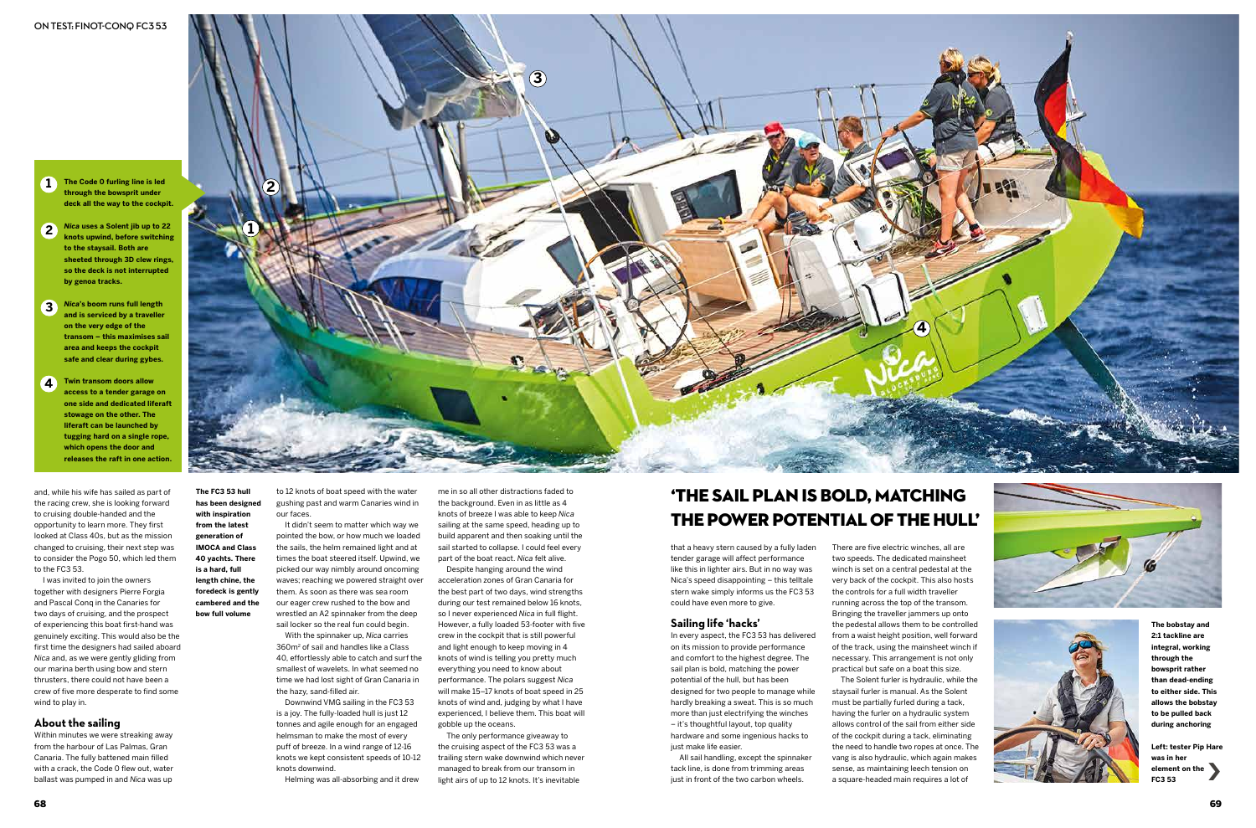**1 The Code 0 furling line is led through the bowsprit under deck all the way to the cockpit.**

- **2** *Nica* **uses a Solent jib up to 22 knots upwind, before switching to the staysail. Both are sheeted through 3D clew rings, so the deck is not interrupted by genoa tracks.**
- **3** *Nica***'s boom runs full length and is serviced by a traveller on the very edge of the transom – this maximises sail area and keeps the cockpit safe and clear during gybes.**
- **Twin transom doors allow access to a tender garage on one side and dedicated liferaft stowage on the other. The liferaft can be launched by tugging hard on a single rope, which opens the door and releases the raft in one action. 4**



to 12 knots of boat speed with the water gushing past and warm Canaries wind in our faces.

It didn't seem to matter which way we pointed the bow, or how much we loaded the sails, the helm remained light and at times the boat steered itself. Upwind, we picked our way nimbly around oncoming waves; reaching we powered straight over them. As soon as there was sea room our eager crew rushed to the bow and wrestled an A2 spinnaker from the deep sail locker so the real fun could begin.

With the spinnaker up, *Nica* carries 360m2 of sail and handles like a Class 40, effortlessly able to catch and surf the smallest of wavelets. In what seemed no time we had lost sight of Gran Canaria in the hazy, sand-filled air.

Downwind VMG sailing in the FC3 53 is a joy. The fully-loaded hull is just 12 tonnes and agile enough for an engaged helmsman to make the most of every puff of breeze. In a wind range of 12-16 knots we kept consistent speeds of 10-12 knots downwind.

Helming was all-absorbing and it drew

me in so all other distractions faded to the background. Even in as little as 4 knots of breeze I was able to keep *Nica* sailing at the same speed, heading up to build apparent and then soaking until the sail started to collapse. I could feel every part of the boat react. *Nica* felt alive.

> All sail handling, except the spinnaker tack line, is done from trimming areas just in front of the two carbon wheels.

Despite hanging around the wind acceleration zones of Gran Canaria for the best part of two days, wind strengths during our test remained below 16 knots, so I never experienced *Nica* in full flight. However, a fully loaded 53-footer with five crew in the cockpit that is still powerful and light enough to keep moving in 4 knots of wind is telling you pretty much everything you need to know about performance. The polars suggest *Nica* will make 15–17 knots of boat speed in 25 knots of wind and, judging by what I have experienced, I believe them. This boat will gobble up the oceans.

The only performance giveaway to the cruising aspect of the FC3 53 was a trailing stern wake downwind which never managed to break from our transom in light airs of up to 12 knots. It's inevitable

**The bobstay and 2:1 tackline are integral, working through the bowsprit rather than dead-ending to either side. This allows the bobstay to be pulled back during anchoring**

**Left: tester Pip Hare was in her**  element on the <br>FC3 53 **FC3 53**

**The FC3 53 hull** 

**has been designed with inspiration from the latest generation of IMOCA and Class 40 yachts. There is a hard, full length chine, the foredeck is gently cambered and the bow full volume**

that a heavy stern caused by a fully laden tender garage will affect performance like this in lighter airs. But in no way was Nica's speed disappointing – this telltale stern wake simply informs us the FC3 53 could have even more to give.

#### **Sailing life 'hacks'**

In every aspect, the FC3 53 has delivered on its mission to provide performance and comfort to the highest degree. The sail plan is bold, matching the power potential of the hull, but has been designed for two people to manage while hardly breaking a sweat. This is so much more than just electrifying the winches – it's thoughtful layout, top quality hardware and some ingenious hacks to just make life easier.

## 'the sail plan is bold, matching the power potential of the hull'

There are five electric winches, all are The Solent furler is hydraulic, while the

two speeds. The dedicated mainsheet winch is set on a central pedestal at the very back of the cockpit. This also hosts the controls for a full width traveller running across the top of the transom. Bringing the traveller jammers up onto the pedestal allows them to be controlled from a waist height position, well forward of the track, using the mainsheet winch if necessary. This arrangement is not only practical but safe on a boat this size. staysail furler is manual. As the Solent must be partially furled during a tack, having the furler on a hydraulic system allows control of the sail from either side of the cockpit during a tack, eliminating the need to handle two ropes at once. The vang is also hydraulic, which again makes sense, as maintaining leech tension on a square-headed main requires a lot of





and, while his wife has sailed as part of the racing crew, she is looking forward to cruising double-handed and the opportunity to learn more. They first looked at Class 40s, but as the mission changed to cruising, their next step was to consider the Pogo 50, which led them to the FC3 53.

I was invited to join the owners together with designers Pierre Forgia and Pascal Conq in the Canaries for two days of cruising, and the prospect of experiencing this boat first-hand was genuinely exciting. This would also be the first time the designers had sailed aboard *Nica* and, as we were gently gliding from our marina berth using bow and stern thrusters, there could not have been a crew of five more desperate to find some wind to play in.

#### **About the sailing**

Within minutes we were streaking away from the harbour of Las Palmas, Gran Canaria. The fully battened main filled with a crack, the Code 0 flew out, water ballast was pumped in and *Nica* was up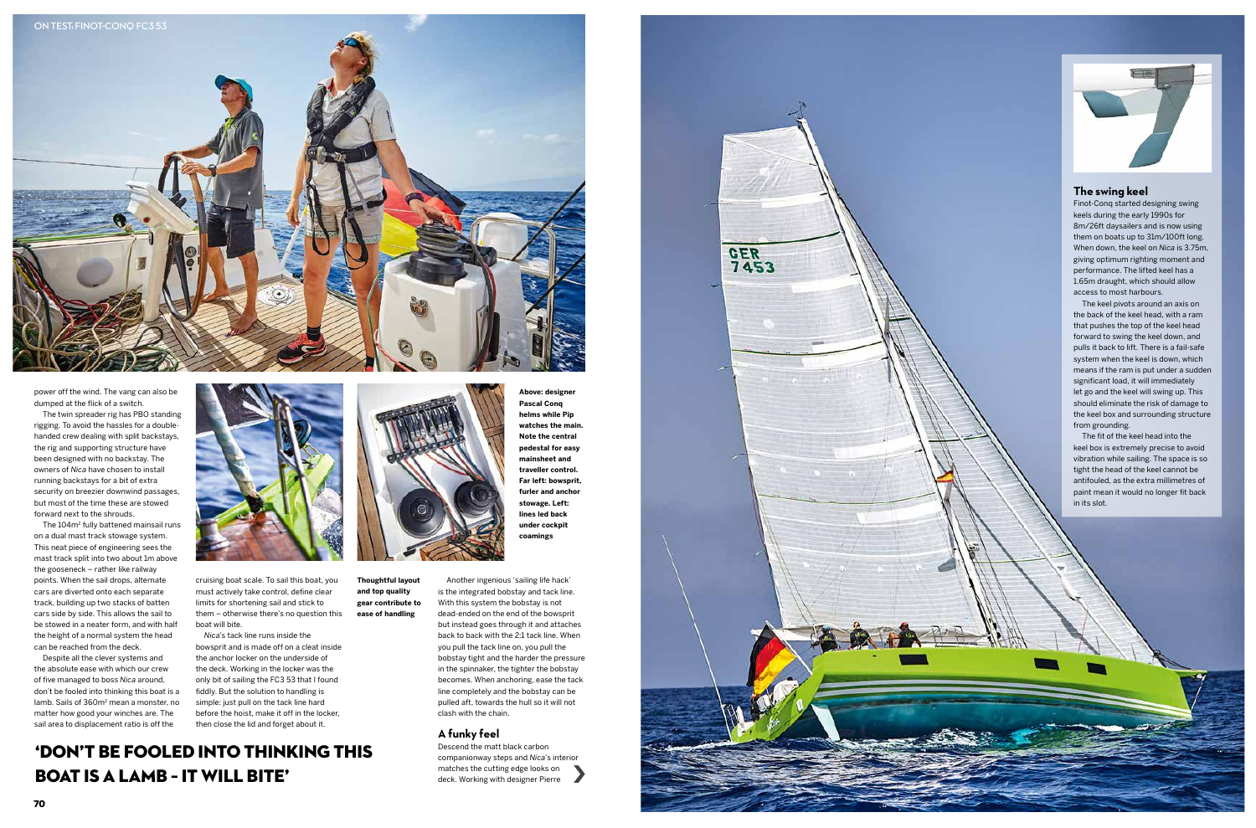



**Above: designer Pascal Conq helms while Pip watches the main. Note the central pedestal for easy mainsheet and traveller control. Far left: bowsprit, furler and anchor stowage. Left: lines led back under cockpit coamings**

**Thoughtful layout and top quality gear contribute to ease of handling**



power off the wind. The vang can also be dumped at the flick of a switch.

The twin spreader rig has PBO standing rigging. To avoid the hassles for a doublehanded crew dealing with split backstays, the rig and supporting structure have been designed with no backstay. The owners of *Nica* have chosen to install running backstays for a bit of extra security on breezier downwind passages, but most of the time these are stowed forward next to the shrouds.

The 104m<sup>2</sup> fully battened mainsail runs on a dual mast track stowage system. This neat piece of engineering sees the mast track split into two about 1m above the gooseneck – rather like railway points. When the sail drops, alternate cars are diverted onto each separate track, building up two stacks of batten cars side by side. This allows the sail to be stowed in a neater form, and with half the height of a normal system the head can be reached from the deck.

'don't be fooled into thinking this **BOAT IS A LAMB - IT WILL BITE'** 



Despite all the clever systems and the absolute ease with which our crew of five managed to boss *Nica* around, don't be fooled into thinking this boat is a lamb. Sails of 360m<sup>2</sup> mean a monster, no matter how good your winches are. The sail area to displacement ratio is off the



cruising boat scale. To sail this boat, you must actively take control, define clear limits for shortening sail and stick to them – otherwise there's no question this boat will bite.

*Nica*'s tack line runs inside the bowsprit and is made off on a cleat inside the anchor locker on the underside of the deck. Working in the locker was the only bit of sailing the FC3 53 that I found fiddly. But the solution to handling is simple: just pull on the tack line hard before the hoist, make it off in the locker, then close the lid and forget about it.

Another ingenious 'sailing life hack' is the integrated bobstay and tack line. With this system the bobstay is not dead-ended on the end of the bowsprit but instead goes through it and attaches back to back with the 2:1 tack line. When you pull the tack line on, you pull the bobstay tight and the harder the pressure in the spinnaker, the tighter the bobstay becomes. When anchoring, ease the tack line completely and the bobstay can be pulled aft, towards the hull so it will not clash with the chain.

#### **A funky feel**

Descend the matt black carbon companionway steps and *Nica*'s interior matches the cutting edge looks on deck. Working with designer Pierre

### **The swing keel**

Finot-Conq started designing swing keels during the early 1990s for 8m/26ft daysailers and is now using them on boats up to 31m/100ft long. When down, the keel on *Nica* is 3.75m, giving optimum righting moment and performance. The lifted keel has a 1.65m draught, which should allow access to most harbours.

The keel pivots around an axis on the back of the keel head, with a ram that pushes the top of the keel head forward to swing the keel down, and pulls it back to lift. There is a fail-safe system when the keel is down, which means if the ram is put under a sudden significant load, it will immediately let go and the keel will swing up. This should eliminate the risk of damage to the keel box and surrounding structure from grounding.

The fit of the keel head into the keel box is extremely precise to avoid vibration while sailing. The space is so tight the head of the keel cannot be antifouled, as the extra millimetres of paint mean it would no longer fit back in its slot.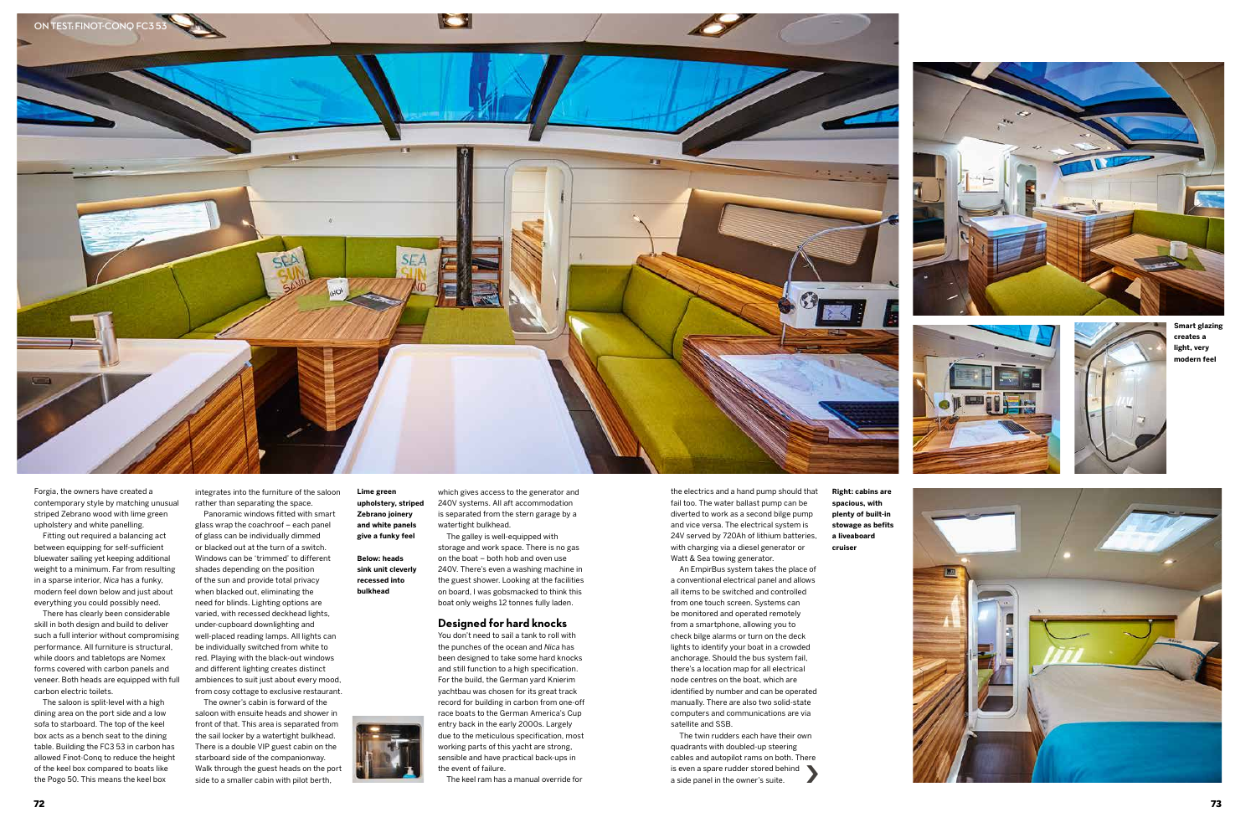**Lime green upholstery, striped Zebrano joinery and white panels give a funky feel**

#### **Below: heads sink unit cleverly recessed into bulkhead**



**Right: cabins are spacious, with plenty of built-in stowage as befits a liveaboard cruiser**







**Smart glazing creates a light, very modern feel**





Forgia, the owners have created a contemporary style by matching unusual striped Zebrano wood with lime green upholstery and white panelling.

Fitting out required a balancing act between equipping for self-sufficient bluewater sailing yet keeping additional weight to a minimum. Far from resulting in a sparse interior, *Nica* has a funky, modern feel down below and just about everything you could possibly need.

There has clearly been considerable skill in both design and build to deliver such a full interior without compromising performance. All furniture is structural, while doors and tabletops are Nomex forms covered with carbon panels and veneer. Both heads are equipped with full carbon electric toilets.

The saloon is split-level with a high dining area on the port side and a low sofa to starboard. The top of the keel box acts as a bench seat to the dining table. Building the FC3 53 in carbon has allowed Finot-Conq to reduce the height of the keel box compared to boats like the Pogo 50. This means the keel box

integrates into the furniture of the saloon rather than separating the space.

Panoramic windows fitted with smart glass wrap the coachroof – each panel of glass can be individually dimmed or blacked out at the turn of a switch. Windows can be 'trimmed' to different shades depending on the position of the sun and provide total privacy when blacked out, eliminating the need for blinds. Lighting options are varied, with recessed deckhead lights, under-cupboard downlighting and well-placed reading lamps. All lights can be individually switched from white to red. Playing with the black-out windows and different lighting creates distinct ambiences to suit just about every mood, from cosy cottage to exclusive restaurant.

> The twin rudders each have their own quadrants with doubled-up steering cables and autopilot rams on both. There  $\begin{array}{c} \text{is even a spare rudder stored behind} \\ \text{a side panel in the owner's suite.} \end{array}$

The owner's cabin is forward of the saloon with ensuite heads and shower in front of that. This area is separated from the sail locker by a watertight bulkhead. There is a double VIP guest cabin on the starboard side of the companionway. Walk through the guest heads on the port side to a smaller cabin with pilot berth,

which gives access to the generator and 240V systems. All aft accommodation is separated from the stern garage by a watertight bulkhead. The galley is well-equipped with

storage and work space. There is no gas on the boat – both hob and oven use 240V. There's even a washing machine in the guest shower. Looking at the facilities on board, I was gobsmacked to think this boat only weighs 12 tonnes fully laden.

#### **Designed for hard knocks**

You don't need to sail a tank to roll with the punches of the ocean and *Nica* has been designed to take some hard knocks and still function to a high specification. For the build, the German yard Knierim yachtbau was chosen for its great track record for building in carbon from one-off race boats to the German America's Cup entry back in the early 2000s. Largely due to the meticulous specification, most working parts of this yacht are strong, sensible and have practical back-ups in the event of failure.

The keel ram has a manual override for

the electrics and a hand pump should that fail too. The water ballast pump can be diverted to work as a second bilge pump and vice versa. The electrical system is 24V served by 720Ah of lithium batteries, with charging via a diesel generator or Watt & Sea towing generator.

An EmpirBus system takes the place of a conventional electrical panel and allows all items to be switched and controlled from one touch screen. Systems can be monitored and operated remotely from a smartphone, allowing you to check bilge alarms or turn on the deck lights to identify your boat in a crowded anchorage. Should the bus system fail, there's a location map for all electrical node centres on the boat, which are identified by number and can be operated manually. There are also two solid-state computers and communications are via satellite and SSB.